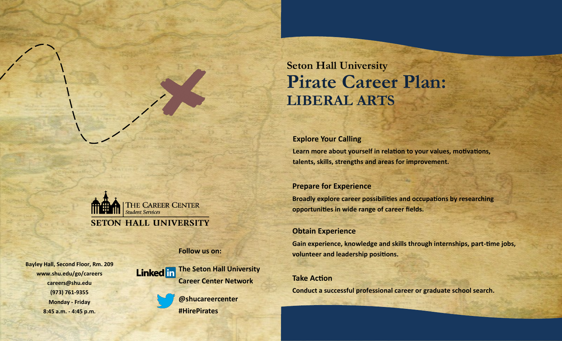# **Seton Hall University Pirate Career Plan: LIBERAL ARTS**

### **Explore Your Calling**

**Learn more about yourself in relation to your values, motivations, talents, skills, strengths and areas for improvement.**

### **Prepare for Experience**

**Broadly explore career possibilities and occupations by researching opportunities in wide range of career fields.**

### **Obtain Experience**

**Gain experience, knowledge and skills through internships, part-time jobs, volunteer and leadership positions.**

### **Take Action**

**Conduct a successful professional career or graduate school search.**

THE CAREER CENTER **Student Services SETON HALL UNIVERSITY** 

**Follow us on:**

**Bayley Hall, Second Floor, Rm. 209 www.shu.edu/go/careers careers@shu.edu (973) 761-9355 Monday - Friday 8:45 a.m. - 4:45 p.m.**



**@shucareercenter #HirePirates**